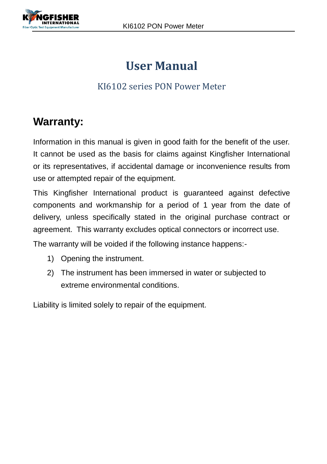<span id="page-0-0"></span>

## **User Manual**

### KI6102 series PON Power Meter

## <span id="page-0-1"></span>**Warranty:**

Information in this manual is given in good faith for the benefit of the user. It cannot be used as the basis for claims against Kingfisher International or its representatives, if accidental damage or inconvenience results from use or attempted repair of the equipment.

This Kingfisher International product is guaranteed against defective components and workmanship for a period of 1 year from the date of delivery, unless specifically stated in the original purchase contract or agreement. This warranty excludes optical connectors or incorrect use.

The warranty will be voided if the following instance happens:-

- 1) Opening the instrument.
- 2) The instrument has been immersed in water or subjected to extreme environmental conditions.

Liability is limited solely to repair of the equipment.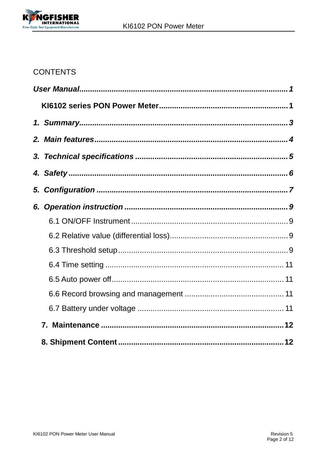

#### **CONTENTS**

| 6. |  |
|----|--|
|    |  |
|    |  |
|    |  |
|    |  |
|    |  |
|    |  |
|    |  |
|    |  |
|    |  |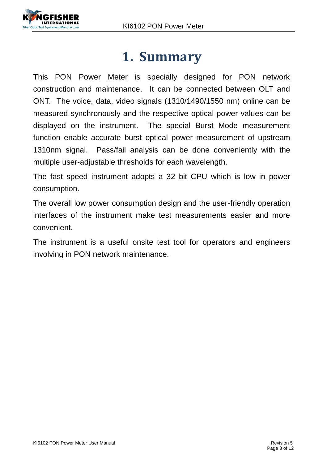

## **1. Summary**

<span id="page-2-0"></span>This PON Power Meter is specially designed for PON network construction and maintenance. It can be connected between OLT and ONT. The voice, data, video signals (1310/1490/1550 nm) online can be measured synchronously and the respective optical power values can be displayed on the instrument. The special Burst Mode measurement function enable accurate burst optical power measurement of upstream 1310nm signal. Pass/fail analysis can be done conveniently with the multiple user-adjustable thresholds for each wavelength.

The fast speed instrument adopts a 32 bit CPU which is low in power consumption.

The overall low power consumption design and the user-friendly operation interfaces of the instrument make test measurements easier and more convenient.

The instrument is a useful onsite test tool for operators and engineers involving in PON network maintenance.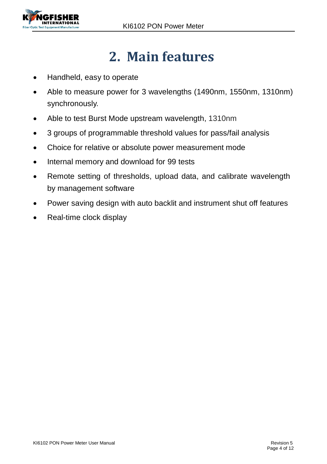

# **2. Main features**

- <span id="page-3-0"></span>• Handheld, easy to operate
- Able to measure power for 3 wavelengths (1490nm, 1550nm, 1310nm) synchronously.
- Able to test Burst Mode upstream wavelength, 1310nm
- 3 groups of programmable threshold values for pass/fail analysis
- Choice for relative or absolute power measurement mode
- Internal memory and download for 99 tests
- Remote setting of thresholds, upload data, and calibrate wavelength by management software
- Power saving design with auto backlit and instrument shut off features
- Real-time clock display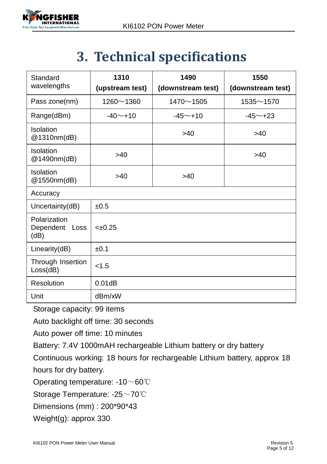

# **3. Technical specifications**

<span id="page-4-0"></span>

| Standard<br>wavelengths                | 1310<br>(upstream test) | 1490<br>(downstream test) | 1550<br>(downstream test) |
|----------------------------------------|-------------------------|---------------------------|---------------------------|
| Pass zone(nm)                          | $1260 - 1360$           | $1470 - 1505$             | $1535 - 1570$             |
| Range(dBm)                             | $-40$ ~+10              | $-45 - +10$               | $-45^{\sim}+23$           |
| Isolation<br>@1310nm(dB)               |                         | >40                       | >40                       |
| Isolation<br>@1490nm(dB)               | >40                     |                           | >40                       |
| Isolation<br>@1550nm(dB)               | >40                     | >40                       |                           |
| Accuracy                               |                         |                           |                           |
| Uncertainty(dB)                        | ±0.5                    |                           |                           |
| Polarization<br>Dependent Loss<br>(dB) | $< +0.25$               |                           |                           |
| Linearity(dB)                          | ±0.1                    |                           |                           |
| Through Insertion<br>Loss(dB)          | < 1.5                   |                           |                           |
| Resolution                             | 0.01dB                  |                           |                           |
| Unit                                   | dBm/xW                  |                           |                           |

Storage capacity: 99 items

Auto backlight off time: 30 seconds

Auto power off time: 10 minutes

Battery: 7.4V 1000mAH rechargeable Lithium battery or dry battery

Continuous working: 18 hours for rechargeable Lithium battery, approx 18 hours for dry battery.

Operating temperature: -10~60℃

Storage Temperature: -25~70℃

Dimensions (mm) : 200\*90\*43

Weight(g): approx 330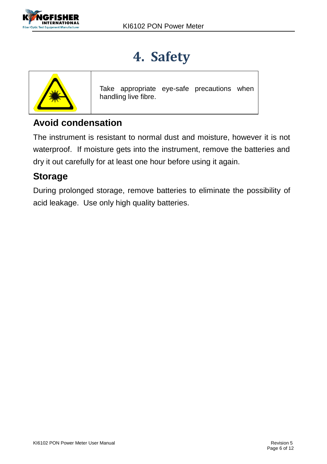

# **4. Safety**

<span id="page-5-0"></span>

Take appropriate eye-safe precautions when handling live fibre.

### **Avoid condensation**

The instrument is resistant to normal dust and moisture, however it is not waterproof. If moisture gets into the instrument, remove the batteries and dry it out carefully for at least one hour before using it again.

#### **Storage**

During prolonged storage, remove batteries to eliminate the possibility of acid leakage. Use only high quality batteries.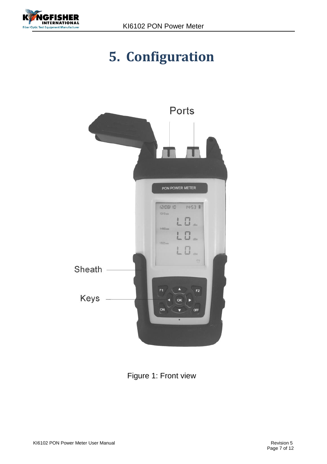<span id="page-6-0"></span>

# **5. Configuration**



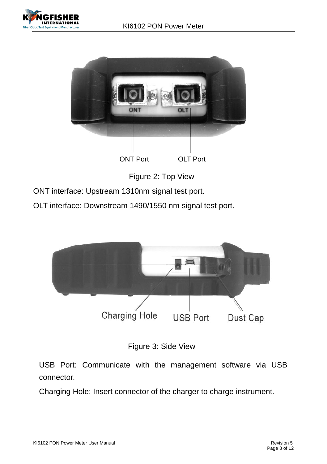





ONT interface: Upstream 1310nm signal test port.

OLT interface: Downstream 1490/1550 nm signal test port.



Figure 3: Side View

USB Port: Communicate with the management software via USB connector.

Charging Hole: Insert connector of the charger to charge instrument.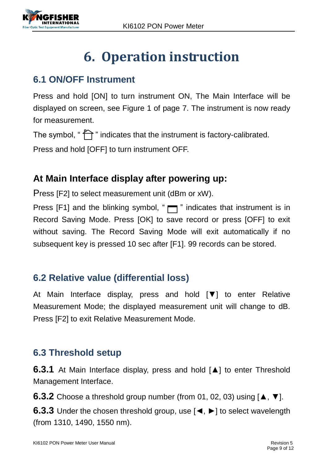

# **6. Operation instruction**

### <span id="page-8-1"></span><span id="page-8-0"></span>**6.1 ON/OFF Instrument**

Press and hold [ON] to turn instrument ON, The Main Interface will be displayed on screen, see Figure 1 of page 7. The instrument is now ready for measurement.

The symbol,  $\mathcal{P}$  indicates that the instrument is factory-calibrated.

Press and hold [OFF] to turn instrument OFF.

#### **At Main Interface display after powering up:**

Press [F2] to select measurement unit (dBm or xW).

Press [F1] and the blinking symbol, " $\Box$ " indicates that instrument is in Record Saving Mode. Press [OK] to save record or press [OFF] to exit without saving. The Record Saving Mode will exit automatically if no subsequent key is pressed 10 sec after [F1]. 99 records can be stored.

### <span id="page-8-2"></span>**6.2 Relative value (differential loss)**

At Main Interface display, press and hold [▼] to enter Relative Measurement Mode; the displayed measurement unit will change to dB. Press [F2] to exit Relative Measurement Mode.

### <span id="page-8-3"></span>**6.3 Threshold setup**

**6.3.1** At Main Interface display, press and hold [▲] to enter Threshold Management Interface.

**6.3.2** Choose a threshold group number (from 01, 02, 03) using [▲, ▼].

**6.3.3** Under the chosen threshold group, use [◄, ►] to select wavelength (from 1310, 1490, 1550 nm).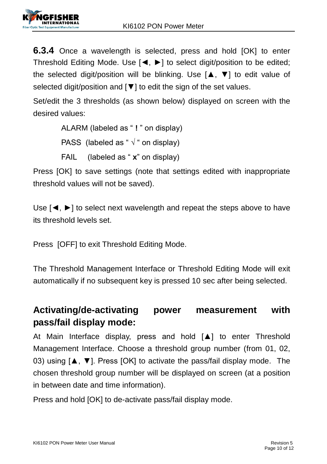**6.3.4** Once a wavelength is selected, press and hold [OK] to enter Threshold Editing Mode. Use [◄, ►] to select digit/position to be edited; the selected digit/position will be blinking. Use [▲, ▼] to edit value of selected digit/position and [▼] to edit the sign of the set values.

Set/edit the 3 thresholds (as shown below) displayed on screen with the desired values:

```
ALARM (labeled as " ! " on display)
PASS (labeled as " √ " on display)
FAIL (labeled as " x" on display)
```
Press [OK] to save settings (note that settings edited with inappropriate threshold values will not be saved).

Use  $\left[ \blacktriangleleft, \blacktriangleright \right]$  to select next wavelength and repeat the steps above to have its threshold levels set.

Press [OFF] to exit Threshold Editing Mode.

The Threshold Management Interface or Threshold Editing Mode will exit automatically if no subsequent key is pressed 10 sec after being selected.

### **Activating/de-activating power measurement with pass/fail display mode:**

At Main Interface display, press and hold [▲] to enter Threshold Management Interface. Choose a threshold group number (from 01, 02, 03) using [▲, ▼]. Press [OK] to activate the pass/fail display mode. The chosen threshold group number will be displayed on screen (at a position in between date and time information).

Press and hold [OK] to de-activate pass/fail display mode.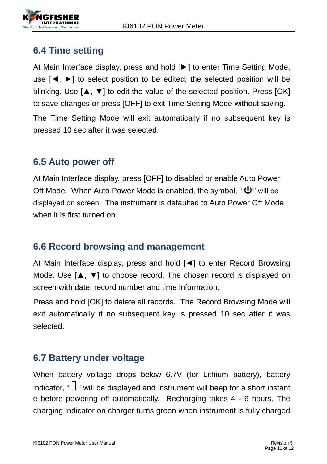### <span id="page-10-0"></span>**6.4 Time setting**

At Main Interface display, press and hold [►] to enter Time Setting Mode, use  $\left[ \blacktriangleleft, \blacktriangleright \right]$  to select position to be edited; the selected position will be blinking. Use [▲, ▼] to edit the value of the selected position. Press [OK] to save changes or press [OFF] to exit Time Setting Mode without saving. The Time Setting Mode will exit automatically if no subsequent key is pressed 10 sec after it was selected.

#### <span id="page-10-1"></span>**6.5 Auto power off**

At Main Interface display, press [OFF] to disabled or enable Auto Power Off Mode. When Auto Power Mode is enabled, the symbol, " $\Phi$ " will be displayed on screen. The instrument is defaulted to Auto Power Off Mode when it is first turned on.

#### <span id="page-10-2"></span>**6.6 Record browsing and management**

At Main Interface display, press and hold [◄] to enter Record Browsing Mode. Use [▲, ▼] to choose record. The chosen record is displayed on screen with date, record number and time information.

Press and hold [OK] to delete all records. The Record Browsing Mode will exit automatically if no subsequent key is pressed 10 sec after it was selected.

#### <span id="page-10-3"></span>**6.7 Battery under voltage**

When battery voltage drops below 6.7V (for Lithium battery), battery indicator. " $\Box$ " will be displayed and instrument will beep for a short instant e before powering off automatically. Recharging takes 4 - 6 hours. The charging indicator on charger turns green when instrument is fully charged.